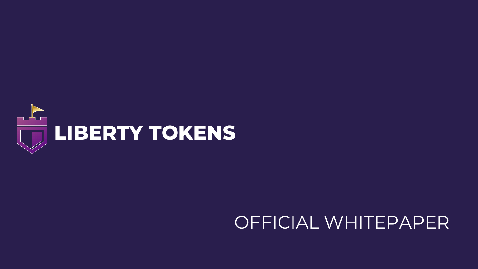

OFFICIAL WHITEPAPER

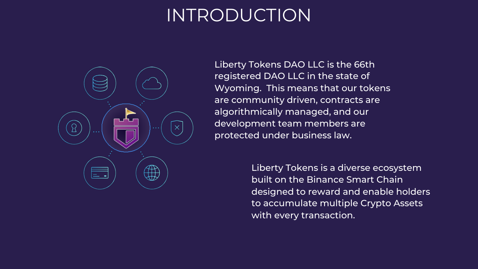# INTRODUCTION



Liberty Tokens DAO LLC is the 66th registered DAO LLC in the state of Wyoming. This means that our tokens are community driven, contracts are algorithmically managed, and our development team members are protected under business law.

> Liberty Tokens is a diverse ecosystem built on the Binance Smart Chain designed to reward and enable holders to accumulate multiple Crypto Assets with every transaction.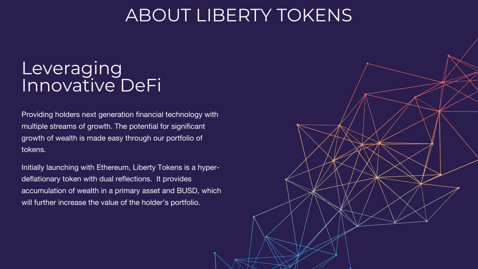### Leveraging Innovative DeFi

### ABOUT LIBERTY TOKENS

Initially launching with Ethereum, Liberty Tokens is a hyperdeflationary token with dual reflections. It provides accumulation of wealth in a primary asset and BUSD, which will further increase the value of the holder's portfolio.



Providing holders next generation financial technology with multiple streams of growth. The potential for significant growth of wealth is made easy through our portfolio of tokens.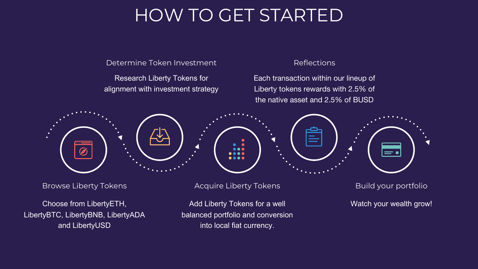# HOW TO GET STARTED

Browse Liberty Tokens

Choose from LibertyETH, LibertyBTC, LibertyBNB, LibertyADA and LibertyUSD

Research Liberty Tokens for alignment with investment strategy



Determine Token Investment

Acquire Liberty Tokens

Add Liberty Tokens for a well balanced portfolio and conversion into local fiat currency.

Reflections

Each transaction within our lineup of Liberty tokens rewards with 2.5% of the native asset and 2.5% of BUSD

Build your portfolio

Watch your wealth grow!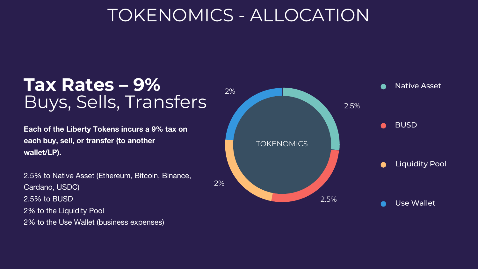## TOKENOMICS - ALLOCATION

2%



### **Tax Rates – 9%** Buys, Sells, Transfers

**Each of the Liberty Tokens incurs a 9% tax on each buy, sell, or transfer (to another wallet/LP).**

2.5% to Native Asset (Ethereum, Bitcoin, Binance, Cardano, USDC) 2.5% to BUSD 2% to the Liquidity Pool 2% to the Use Wallet (business expenses)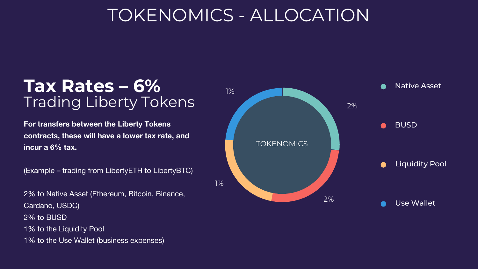## TOKENOMICS - ALLOCATION

1%



### **Tax Rates – 6%** Trading Liberty Tokens

**For transfers between the Liberty Tokens contracts, these will have a lower tax rate, and incur a 6% tax.**

(Example – trading from LibertyETH to LibertyBTC)

2% to Native Asset (Ethereum, Bitcoin, Binance, Cardano, USDC) 2% to BUSD 1% to the Liquidity Pool 1% to the Use Wallet (business expenses)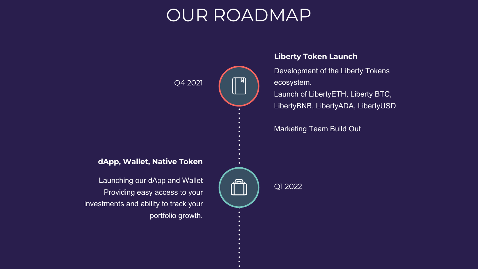# OUR ROADMAP

Q4 2021

Q1 2022

Development of the Liberty Tokens ecosystem. Launch of LibertyETH, Liberty BTC, LibertyBNB, LibertyADA, LibertyUSD

Marketing Team Build Out



### **Liberty Token Launch**

Launching our dApp and Wallet Providing easy access to your investments and ability to track your portfolio growth.

#### **dApp, Wallet, Native Token**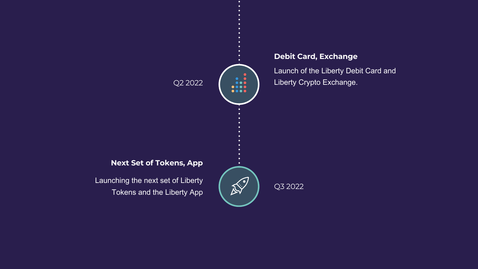#### Q2 2022

Q3 2022

Launch of the Liberty Debit Card and Liberty Crypto Exchange.



### **Debit Card, Exchange**

Launching the next set of Liberty Tokens and the Liberty App

#### **Next Set of Tokens, App**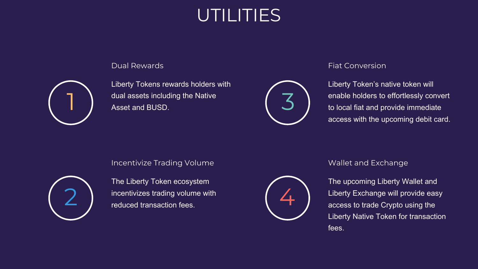# UTILITIES

Liberty Tokens rewards holders with dual assets including the Native Asset and BUSD.

#### Incentivize Trading Volume and Exchange Mallet and Exchange

Liberty Token's native token will enable holders to effortlessly convert to local fiat and provide immediate access with the upcoming debit card.

The Liberty Token ecosystem incentivizes trading volume with reduced transaction fees.

The upcoming Liberty Wallet and Liberty Exchange will provide easy access to trade Crypto using the Liberty Native Token for transaction fees.









#### Dual Rewards **Fiat Conversion**